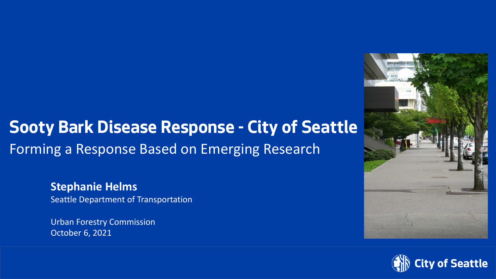### **Sooty Bark Disease Response - City of Seattle** Forming a Response Based on Emerging Research

**Stephanie Helms** Seattle Department of Transportation

Urban Forestry Commission October 6, 2021



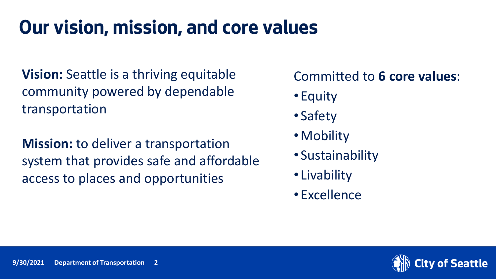### **Our vision, mission, and core values**

**Vision:** Seattle is a thriving equitable community powered by dependable transportation

**Mission:** to deliver a transportation system that provides safe and affordable access to places and opportunities

#### Committed to **6 core values**:

- Equity
- Safety
- Mobility
- Sustainability
- Livability
- Excellence

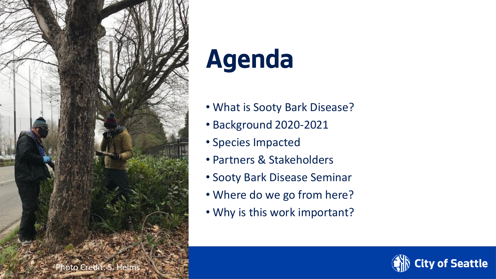

# **Agenda**

- What is Sooty Bark Disease?
- Background 2020-2021
- Species Impacted
- Partners & Stakeholders
- Sooty Bark Disease Seminar
- Where do we go from here?
- Why is this work important?

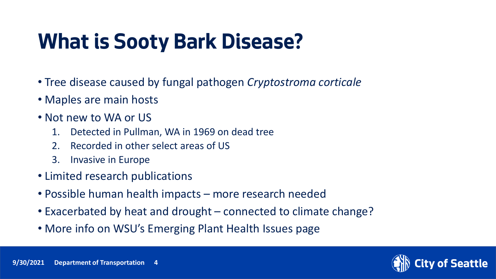## **What is Sooty Bark Disease?**

- Tree disease caused by fungal pathogen *Cryptostroma corticale*
- Maples are main hosts
- Not new to WA or US
	- 1. Detected in Pullman, WA in 1969 on dead tree
	- 2. Recorded in other select areas of US
	- 3. Invasive in Europe
- Limited research publications
- Possible human health impacts more research needed
- Exacerbated by heat and drought connected to climate change?
- More info on WSU's Emerging Plant Health Issues page

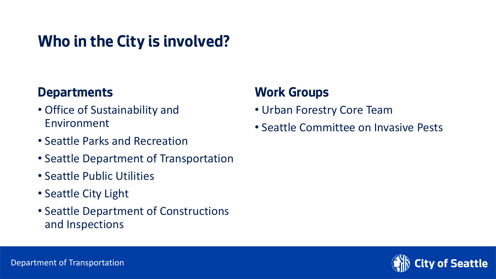### **Who in the City is involved?**

#### **Departments**

- Office of Sustainability and Environment
- Seattle Parks and Recreation
- Seattle Department of Transportation
- Seattle Public Utilities
- Seattle City Light
- Seattle Department of Constructions and Inspections

#### **Work Groups**

- Urban Forestry Core Team
- Seattle Committee on Invasive Pests

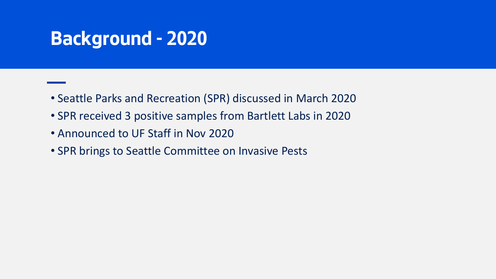### **Background - 2020**

- Seattle Parks and Recreation (SPR) discussed in March 2020
- SPR received 3 positive samples from Bartlett Labs in 2020
- Announced to UF Staff in Nov 2020
- SPR brings to Seattle Committee on Invasive Pests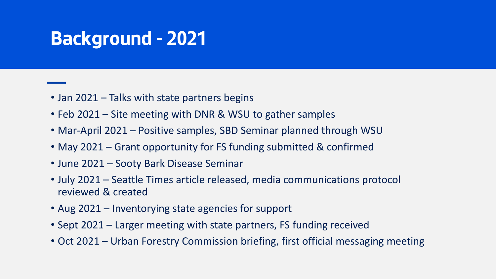### **Background - 2021**

- Jan 2021 Talks with state partners begins
- Feb 2021 Site meeting with DNR & WSU to gather samples
- Mar-April 2021 Positive samples, SBD Seminar planned through WSU
- May 2021 Grant opportunity for FS funding submitted & confirmed
- June 2021 Sooty Bark Disease Seminar
- July 2021 Seattle Times article released, media communications protocol reviewed & created
- Aug 2021 Inventorying state agencies for support
- Sept 2021 Larger meeting with state partners, FS funding received
- Oct 2021 Urban Forestry Commission briefing, first official messaging meeting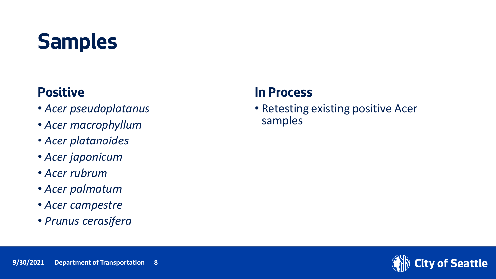## **Samples**

#### **Positive**

- *Acer pseudoplatanus*
- *Acer macrophyllum*
- *Acer platanoides*
- *Acer japonicum*
- *Acer rubrum*
- *Acer palmatum*
- *Acer campestre*
- *Prunus cerasifera*

#### **In Process**

• Retesting existing positive Acer samples

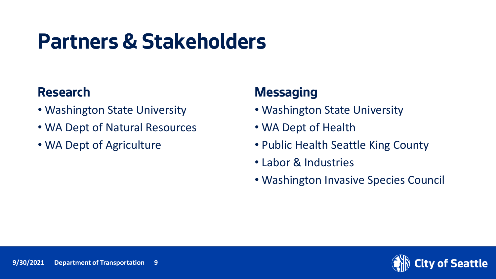### **Partners & Stakeholders**

#### **Research**

- Washington State University
- WA Dept of Natural Resources
- WA Dept of Agriculture

#### **Messaging**

- Washington State University
- WA Dept of Health
- Public Health Seattle King County
- Labor & Industries
- Washington Invasive Species Council

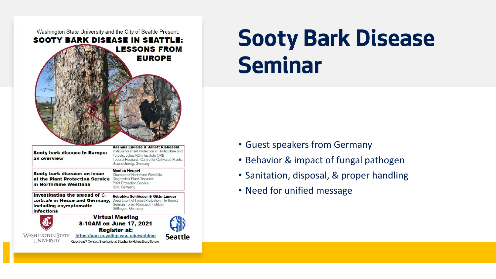

**9/30/2021 Department of Transportation 10**

## **Sooty Bark Disease Seminar**

- Guest speakers from Germany
- Behavior & impact of fungal pathogen
- Sanitation, disposal, & proper handling
- Need for unified message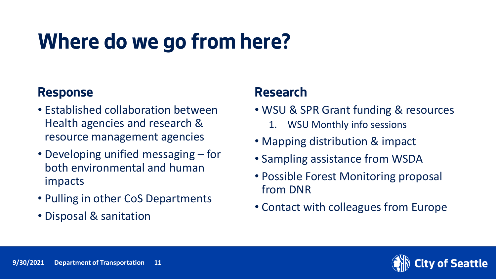## **Where do we go from here?**

#### **Response**

- Established collaboration between Health agencies and research & resource management agencies
- Developing unified messaging for both environmental and human impacts
- Pulling in other CoS Departments
- Disposal & sanitation

#### **Research**

- WSU & SPR Grant funding & resources
	- WSU Monthly info sessions
- Mapping distribution & impact
- Sampling assistance from WSDA
- Possible Forest Monitoring proposal from DNR
- Contact with colleagues from Europe

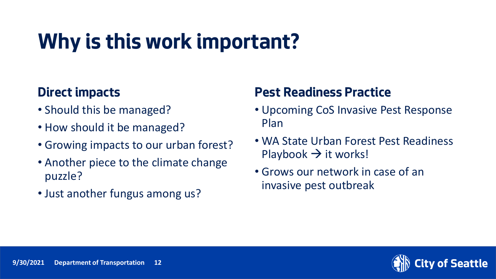## **Why is this work important?**

#### **Direct impacts**

- Should this be managed?
- How should it be managed?
- Growing impacts to our urban forest?
- Another piece to the climate change puzzle?
- Just another fungus among us?

#### **Pest Readiness Practice**

- Upcoming CoS Invasive Pest Response Plan
- WA State Urban Forest Pest Readiness Playbook  $\rightarrow$  it works!
- Grows our network in case of an invasive pest outbreak